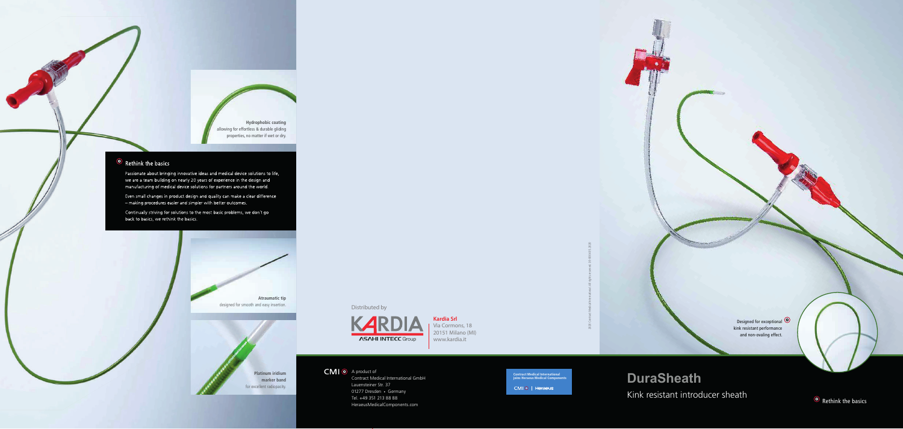Contract Medical International GmbH Lauensteiner Str. 37 01277 Dresden • Germany Tel. +49 351 213 88 88 HeraeusMedicalComponents.com

2020 Contract Medical International. All rights reserved. DS-0004 05.2020



### **DuraSheath**

Kink resistant introducer sheath

**Hydrophobic coating**  allowing for effortless & durable gliding properties, no matter if wet or dry.

#### $\odot$  Rethink the basics

Passionate about bringing innovative ideas and medical device solutions to life, we are a team building on nearly 20 years of experience in the design and manufacturing of medical device solutions for partners around the world.

Even small changes in product design and quality can make a clear difference - making procedures easier and simpler with better outcomes.

Continually striving for solutions to the most basic problems, we don't go back to basics, we rethink the basics.





**Contract Medical International joins Heraeus Medical Components**

CMIO | Heraeus

**Kardia Srl** Via Cormons, 18 20151 Milano (MI) www.kardia.it

CMI O A product of

Distributed by